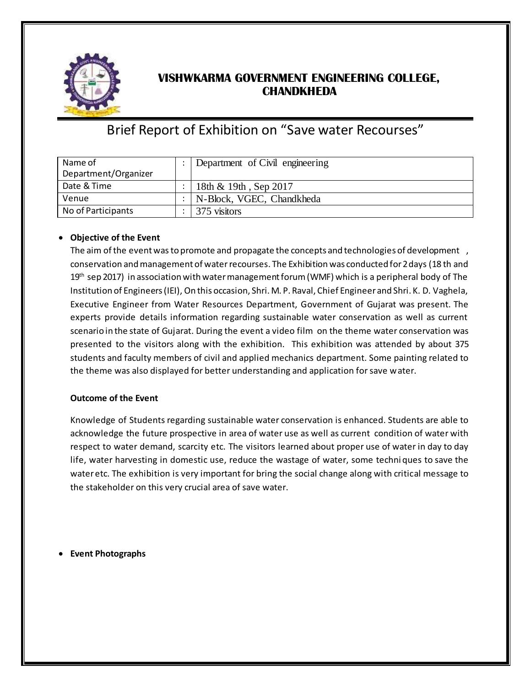

## **VISHWKARMA GOVERNMENT ENGINEERING COLLEGE, CHANDKHEDA**

## Brief Report of Exhibition on "Save water Recourses"

| Name of              | Department of Civil engineering |
|----------------------|---------------------------------|
| Department/Organizer |                                 |
| Date & Time          | 18th & 19th, Sep 2017           |
| Venue                | N-Block, VGEC, Chandkheda       |
| No of Participants   | 375 visitors                    |

## **Objective of the Event**

The aim of the event was to promote and propagate the concepts and technologies of development, conservation and management of water recourses. The Exhibition was conducted for 2 days (18 th and  $19<sup>th</sup>$  sep 2017) in association with water management forum (WMF) which is a peripheral body of The Institution of Engineers (IEI), On this occasion, Shri. M. P. Raval, Chief Engineer and Shri. K. D. Vaghela, Executive Engineer from Water Resources Department, Government of Gujarat was present. The experts provide details information regarding sustainable water conservation as well as current scenario in the state of Gujarat. During the event a video film on the theme water conservation was presented to the visitors along with the exhibition. This exhibition was attended by about 375 students and faculty members of civil and applied mechanics department. Some painting related to the theme was also displayed for better understanding and application for save water.

## **Outcome of the Event**

Knowledge of Students regarding sustainable water conservation is enhanced. Students are able to acknowledge the future prospective in area of water use as well as current condition of water with respect to water demand, scarcity etc. The visitors learned about proper use of water in day to day life, water harvesting in domestic use, reduce the wastage of water, some techni ques to save the water etc. The exhibition is very important for bring the social change along with critical message to the stakeholder on this very crucial area of save water.

**Event Photographs**